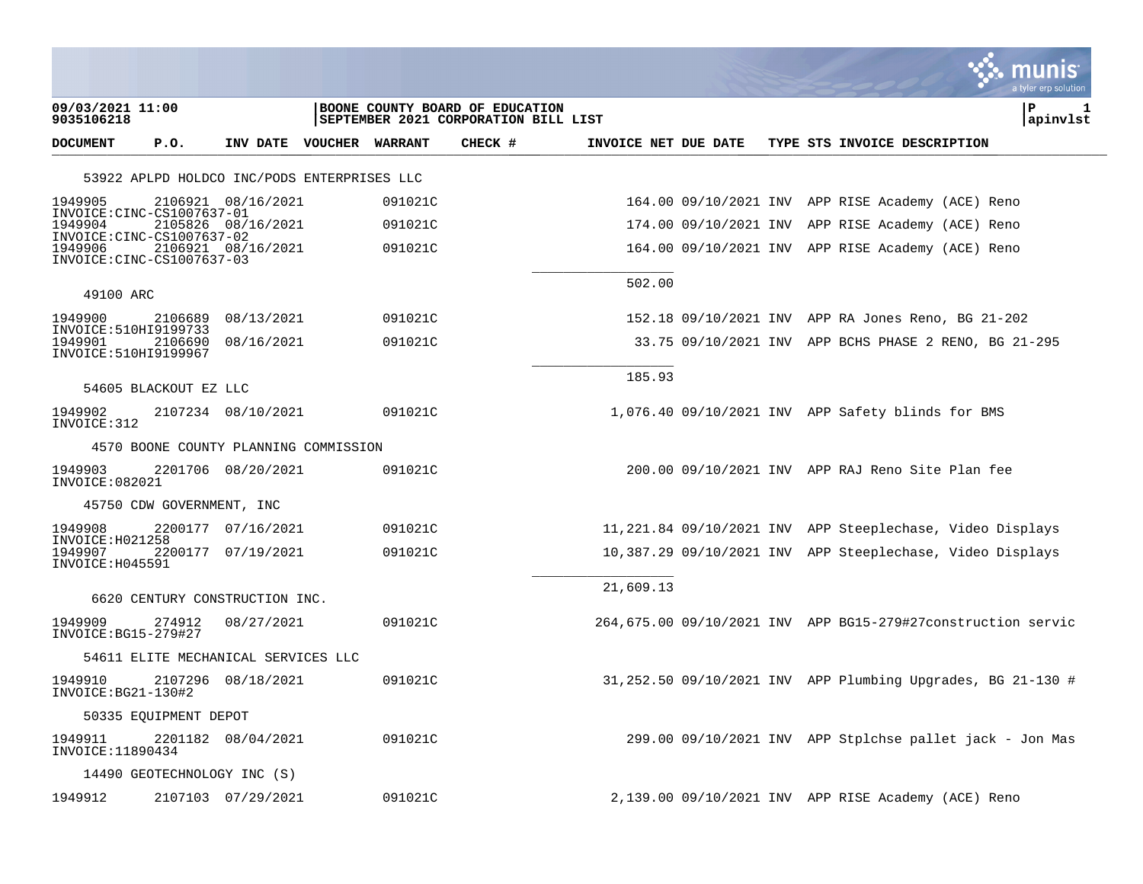|                                                           |                           |                                             |         |                                                                         |                      |  |                                                              | munis<br>a tyler erp solutior |
|-----------------------------------------------------------|---------------------------|---------------------------------------------|---------|-------------------------------------------------------------------------|----------------------|--|--------------------------------------------------------------|-------------------------------|
| 09/03/2021 11:00<br>9035106218                            |                           |                                             |         | BOONE COUNTY BOARD OF EDUCATION<br>SEPTEMBER 2021 CORPORATION BILL LIST |                      |  |                                                              | l P<br>п.<br>apinvlst         |
| <b>DOCUMENT</b>                                           | P.0.                      | INV DATE VOUCHER WARRANT                    |         | CHECK #                                                                 | INVOICE NET DUE DATE |  | TYPE STS INVOICE DESCRIPTION                                 |                               |
|                                                           |                           | 53922 APLPD HOLDCO INC/PODS ENTERPRISES LLC |         |                                                                         |                      |  |                                                              |                               |
| 1949905<br>INVOICE:CINC-CS1007637-01                      |                           | 2106921 08/16/2021                          | 091021C |                                                                         |                      |  | 164.00 09/10/2021 INV APP RISE Academy (ACE) Reno            |                               |
| 1949904<br>INVOICE:CINC-CS1007637-02                      |                           | 2105826 08/16/2021                          | 091021C |                                                                         |                      |  | 174.00 09/10/2021 INV APP RISE Academy (ACE) Reno            |                               |
| 1949906<br>INVOICE:CINC-CS1007637-03                      |                           | 2106921 08/16/2021                          | 091021C |                                                                         |                      |  | 164.00 09/10/2021 INV APP RISE Academy (ACE) Reno            |                               |
| 49100 ARC                                                 |                           |                                             |         |                                                                         | 502.00               |  |                                                              |                               |
| 1949900                                                   | 2106689                   | 08/13/2021                                  | 091021C |                                                                         |                      |  | 152.18 09/10/2021 INV APP RA Jones Reno, BG 21-202           |                               |
| INVOICE: 510HI9199733<br>1949901<br>INVOICE: 510HI9199967 | 2106690                   | 08/16/2021                                  | 091021C |                                                                         |                      |  | 33.75 09/10/2021 INV APP BCHS PHASE 2 RENO, BG 21-295        |                               |
|                                                           |                           |                                             |         |                                                                         | 185.93               |  |                                                              |                               |
| 1949902                                                   | 54605 BLACKOUT EZ LLC     | 2107234 08/10/2021                          | 091021C |                                                                         |                      |  | 1,076.40 09/10/2021 INV APP Safety blinds for BMS            |                               |
| INVOICE: 312                                              |                           |                                             |         |                                                                         |                      |  |                                                              |                               |
|                                                           |                           | 4570 BOONE COUNTY PLANNING COMMISSION       |         |                                                                         |                      |  |                                                              |                               |
| 1949903<br>INVOICE: 082021                                |                           | 2201706 08/20/2021                          | 091021C |                                                                         |                      |  | 200.00 09/10/2021 INV APP RAJ Reno Site Plan fee             |                               |
|                                                           | 45750 CDW GOVERNMENT, INC |                                             |         |                                                                         |                      |  |                                                              |                               |
| 1949908<br>INVOICE: H021258                               |                           | 2200177 07/16/2021                          | 091021C |                                                                         |                      |  | 11,221.84 09/10/2021 INV APP Steeplechase, Video Displays    |                               |
| 1949907<br>INVOICE: H045591                               |                           | 2200177 07/19/2021                          | 091021C |                                                                         |                      |  | 10,387.29 09/10/2021 INV APP Steeplechase, Video Displays    |                               |
|                                                           |                           | 6620 CENTURY CONSTRUCTION INC.              |         |                                                                         | 21,609.13            |  |                                                              |                               |
| 1949909<br>INVOICE: BG15-279#27                           | 274912                    | 08/27/2021                                  | 091021C |                                                                         |                      |  | 264,675.00 09/10/2021 INV APP BG15-279#27construction servic |                               |
|                                                           |                           | 54611 ELITE MECHANICAL SERVICES LLC         |         |                                                                         |                      |  |                                                              |                               |
| 1949910<br>INVOICE: BG21-130#2                            |                           | 2107296 08/18/2021                          | 091021C |                                                                         |                      |  | 31,252.50 09/10/2021 INV APP Plumbing Upgrades, BG 21-130 #  |                               |
|                                                           | 50335 EOUIPMENT DEPOT     |                                             |         |                                                                         |                      |  |                                                              |                               |
| 1949911<br>INVOICE: 11890434                              |                           | 2201182 08/04/2021                          | 091021C |                                                                         |                      |  | $299.00$ 09/10/2021 INV APP Stplchse pallet jack - Jon Mas   |                               |
|                                                           |                           | 14490 GEOTECHNOLOGY INC (S)                 |         |                                                                         |                      |  |                                                              |                               |
| 1949912                                                   |                           | 2107103 07/29/2021                          | 091021C |                                                                         |                      |  | 2,139.00 09/10/2021 INV APP RISE Academy (ACE) Reno          |                               |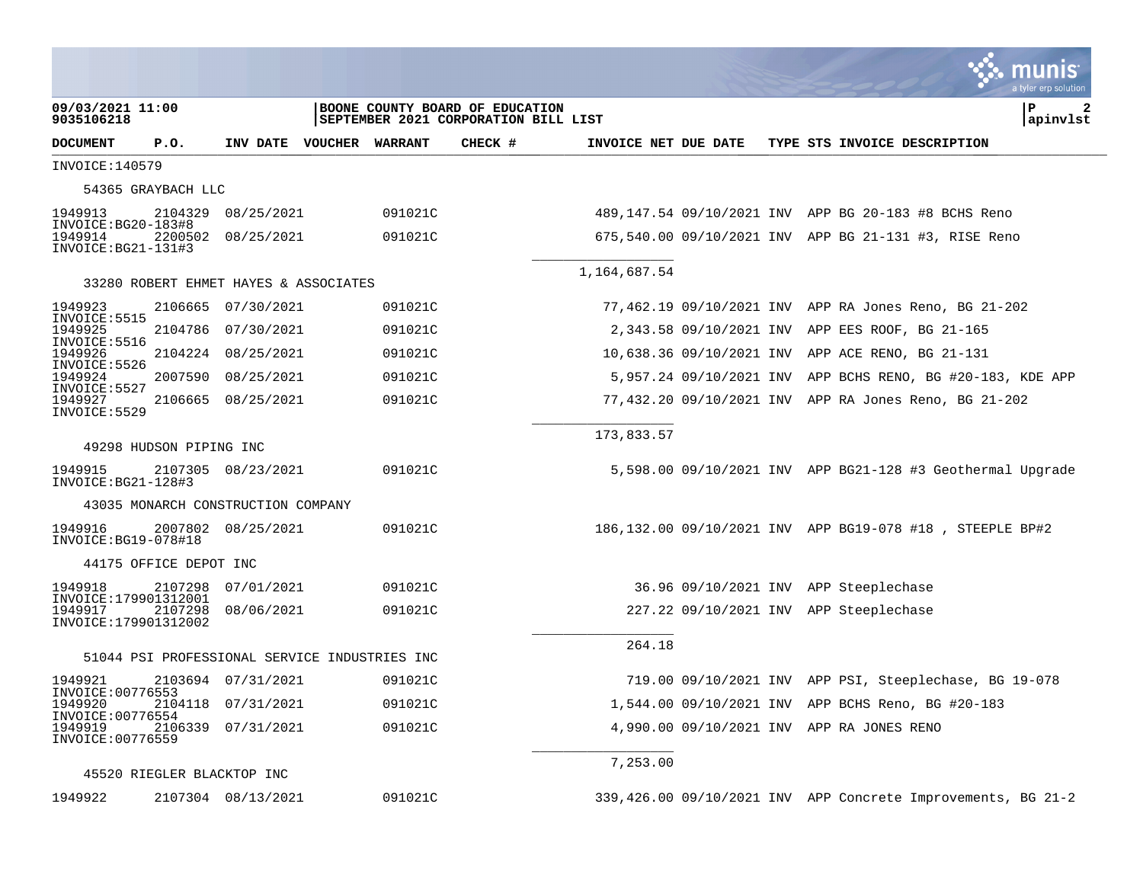|                                                         |                         |                                               |  |                    |                                                                         |                      |  |  | a tyler erp solution                                                                                           |                |
|---------------------------------------------------------|-------------------------|-----------------------------------------------|--|--------------------|-------------------------------------------------------------------------|----------------------|--|--|----------------------------------------------------------------------------------------------------------------|----------------|
| 09/03/2021 11:00<br>9035106218                          |                         |                                               |  |                    | BOONE COUNTY BOARD OF EDUCATION<br>SEPTEMBER 2021 CORPORATION BILL LIST |                      |  |  | Р                                                                                                              | 2<br> apinvlst |
| <b>DOCUMENT</b>                                         | P.O.                    | INV DATE VOUCHER WARRANT                      |  |                    | CHECK #                                                                 | INVOICE NET DUE DATE |  |  | TYPE STS INVOICE DESCRIPTION                                                                                   |                |
| INVOICE: 140579                                         |                         |                                               |  |                    |                                                                         |                      |  |  |                                                                                                                |                |
|                                                         | 54365 GRAYBACH LLC      |                                               |  |                    |                                                                         |                      |  |  |                                                                                                                |                |
| 1949913<br>$INVOICE: BG20-183#8$                        | 2104329                 | 08/25/2021                                    |  | 091021C            |                                                                         |                      |  |  | 489,147.54 09/10/2021 INV APP BG 20-183 #8 BCHS Reno                                                           |                |
| 1949914<br>$INVOICE: BG21-131#3$                        | 2200502                 | 08/25/2021                                    |  | 091021C            |                                                                         |                      |  |  | 675,540.00 09/10/2021 INV APP BG 21-131 #3, RISE Reno                                                          |                |
| 1,164,687.54<br>33280 ROBERT EHMET HAYES & ASSOCIATES   |                         |                                               |  |                    |                                                                         |                      |  |  |                                                                                                                |                |
|                                                         |                         |                                               |  |                    |                                                                         |                      |  |  |                                                                                                                |                |
| 1949923<br>INVOICE: 5515<br>1949925                     | 2106665                 | 07/30/2021                                    |  | 091021C            |                                                                         |                      |  |  | 77,462.19 09/10/2021 INV APP RA Jones Reno, BG 21-202                                                          |                |
| INVOICE: 5516<br>1949926                                | 2104786                 | 07/30/2021<br>2104224 08/25/2021              |  | 091021C            |                                                                         |                      |  |  | 2,343.58 09/10/2021 INV APP EES ROOF, BG 21-165                                                                |                |
| INVOICE: 5526<br>1949924                                | 2007590                 | 08/25/2021                                    |  | 091021C<br>091021C |                                                                         |                      |  |  | 10,638.36 09/10/2021 INV APP ACE RENO, BG 21-131<br>5,957.24 09/10/2021 INV APP BCHS RENO, BG #20-183, KDE APP |                |
| INVOICE: 5527<br>1949927                                | 2106665                 | 08/25/2021                                    |  | 091021C            |                                                                         |                      |  |  | 77,432.20 09/10/2021 INV APP RA Jones Reno, BG 21-202                                                          |                |
| INVOICE: 5529                                           |                         |                                               |  |                    |                                                                         |                      |  |  |                                                                                                                |                |
|                                                         | 49298 HUDSON PIPING INC |                                               |  |                    |                                                                         | 173,833.57           |  |  |                                                                                                                |                |
| 1949915<br>INVOICE: BG21-128#3                          |                         | 2107305 08/23/2021                            |  | 091021C            |                                                                         |                      |  |  | 5,598.00 09/10/2021 INV APP BG21-128 #3 Geothermal Upgrade                                                     |                |
|                                                         |                         | 43035 MONARCH CONSTRUCTION COMPANY            |  |                    |                                                                         |                      |  |  |                                                                                                                |                |
| 1949916<br>INVOICE: BG19-078#18                         |                         | 2007802 08/25/2021                            |  | 091021C            |                                                                         |                      |  |  | 186,132.00 09/10/2021 INV APP BG19-078 #18, STEEPLE BP#2                                                       |                |
|                                                         | 44175 OFFICE DEPOT INC  |                                               |  |                    |                                                                         |                      |  |  |                                                                                                                |                |
| 1949918                                                 | 2107298                 | 07/01/2021                                    |  | 091021C            |                                                                         |                      |  |  | 36.96 09/10/2021 INV APP Steeplechase                                                                          |                |
| INVOICE:179901312001<br>1949917<br>INVOICE:179901312002 | 2107298                 | 08/06/2021                                    |  | 091021C            |                                                                         |                      |  |  | 227.22 09/10/2021 INV APP Steeplechase                                                                         |                |
|                                                         |                         | 51044 PSI PROFESSIONAL SERVICE INDUSTRIES INC |  |                    |                                                                         | 264.18               |  |  |                                                                                                                |                |
| 1949921                                                 |                         | 2103694 07/31/2021                            |  | 091021C            |                                                                         |                      |  |  | 719.00 09/10/2021 INV APP PSI, Steeplechase, BG 19-078                                                         |                |
| INVOICE: 00776553<br>1949920                            |                         | 2104118 07/31/2021                            |  | 091021C            |                                                                         |                      |  |  | 1,544.00 09/10/2021 INV APP BCHS Reno, BG #20-183                                                              |                |
| INVOICE: 00776554<br>1949919<br>INVOICE: 00776559       |                         | 2106339 07/31/2021                            |  | 091021C            |                                                                         |                      |  |  | 4,990.00 09/10/2021 INV APP RA JONES RENO                                                                      |                |
|                                                         |                         |                                               |  |                    |                                                                         | 7,253.00             |  |  |                                                                                                                |                |
|                                                         |                         | 45520 RIEGLER BLACKTOP INC                    |  |                    |                                                                         |                      |  |  |                                                                                                                |                |
| 1949922                                                 |                         | 2107304 08/13/2021                            |  | 091021C            |                                                                         |                      |  |  | 339,426.00 09/10/2021 INV APP Concrete Improvements, BG 21-2                                                   |                |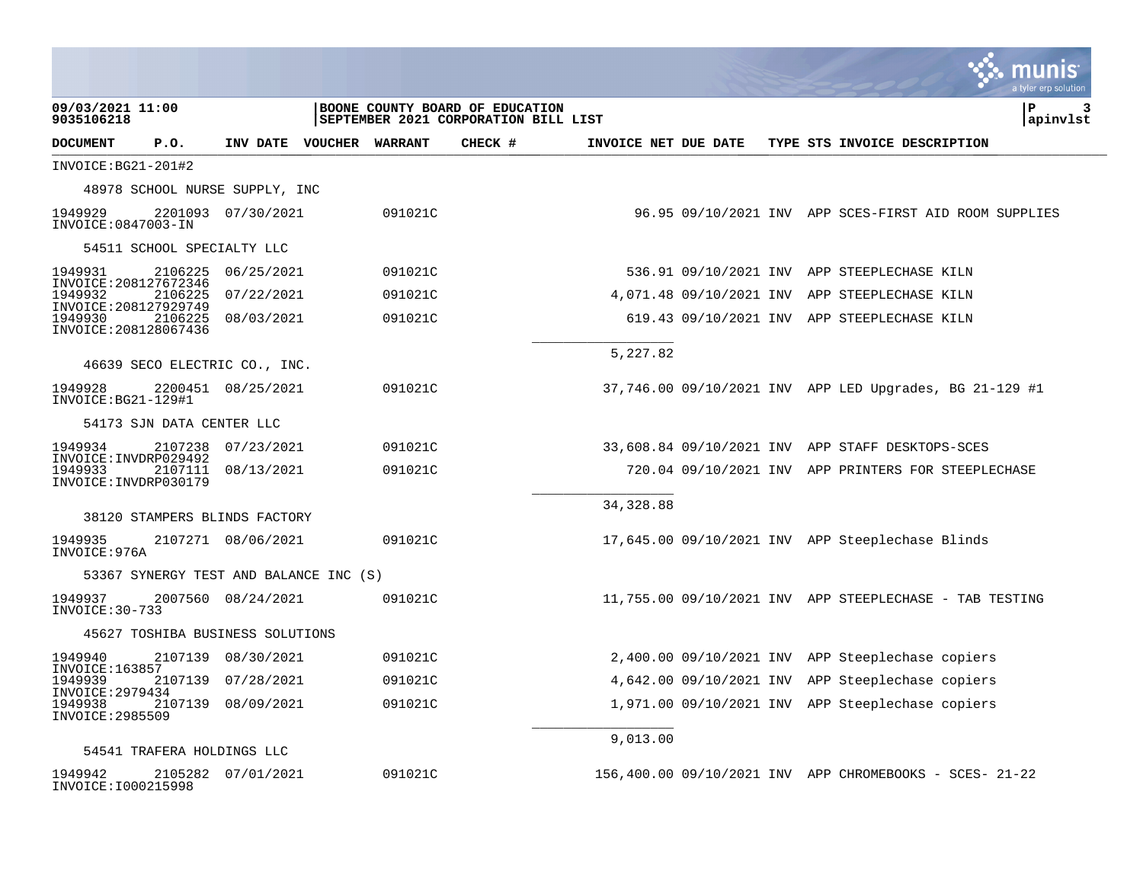|                                                 |                    |  |            |                          |         |                                                                         |                      |  |  |  | munis<br>a tyler erp solution                           |
|-------------------------------------------------|--------------------|--|------------|--------------------------|---------|-------------------------------------------------------------------------|----------------------|--|--|--|---------------------------------------------------------|
| 09/03/2021 11:00<br>9035106218                  |                    |  |            |                          |         | BOONE COUNTY BOARD OF EDUCATION<br>SEPTEMBER 2021 CORPORATION BILL LIST |                      |  |  |  | l P<br>З<br>apinvlst                                    |
| DOCUMENT                                        | P.O.               |  |            | INV DATE VOUCHER WARRANT |         | CHECK #                                                                 | INVOICE NET DUE DATE |  |  |  | TYPE STS INVOICE DESCRIPTION                            |
| $INVOICE:BG21-201#2$                            |                    |  |            |                          |         |                                                                         |                      |  |  |  |                                                         |
| 48978 SCHOOL NURSE SUPPLY, INC                  |                    |  |            |                          |         |                                                                         |                      |  |  |  |                                                         |
| 1949929<br>INVOICE: 0847003-IN                  | 2201093 07/30/2021 |  |            |                          | 091021C |                                                                         |                      |  |  |  | 96.95 09/10/2021 INV APP SCES-FIRST AID ROOM SUPPLIES   |
| 54511 SCHOOL SPECIALTY LLC                      |                    |  |            |                          |         |                                                                         |                      |  |  |  |                                                         |
| 1949931<br>INVOICE: 208127672346                | 2106225            |  | 06/25/2021 |                          | 091021C |                                                                         |                      |  |  |  | 536.91 09/10/2021 INV APP STEEPLECHASE KILN             |
| 1949932<br>INVOICE: 208127929749                | 2106225            |  | 07/22/2021 |                          | 091021C |                                                                         |                      |  |  |  | 4,071.48 09/10/2021 INV APP STEEPLECHASE KILN           |
| 1949930<br>INVOICE: 208128067436                | 2106225            |  | 08/03/2021 |                          | 091021C |                                                                         |                      |  |  |  | 619.43 09/10/2021 INV APP STEEPLECHASE KILN             |
|                                                 |                    |  |            |                          |         |                                                                         | 5,227.82             |  |  |  |                                                         |
| 46639 SECO ELECTRIC CO., INC.                   |                    |  |            |                          |         |                                                                         |                      |  |  |  |                                                         |
| 1949928<br>INVOICE: BG21-129#1                  | 2200451 08/25/2021 |  |            |                          | 091021C |                                                                         |                      |  |  |  | 37,746.00 09/10/2021 INV APP LED Upgrades, BG 21-129 #1 |
| 54173 SJN DATA CENTER LLC                       |                    |  |            |                          |         |                                                                         |                      |  |  |  |                                                         |
| 1949934<br>INVOICE: INVDRP029492                | 2107238 07/23/2021 |  |            |                          | 091021C |                                                                         |                      |  |  |  | 33,608.84 09/10/2021 INV APP STAFF DESKTOPS-SCES        |
| 1949933<br>INVOICE: INVDRP030179                | 2107111            |  | 08/13/2021 |                          | 091021C |                                                                         |                      |  |  |  | 720.04 09/10/2021 INV APP PRINTERS FOR STEEPLECHASE     |
|                                                 |                    |  |            |                          |         |                                                                         | 34, 328.88           |  |  |  |                                                         |
| 38120 STAMPERS BLINDS FACTORY                   |                    |  |            |                          |         |                                                                         |                      |  |  |  |                                                         |
| 1949935<br>INVOICE: 976A                        | 2107271 08/06/2021 |  |            |                          | 091021C |                                                                         |                      |  |  |  | $17,645.00$ 09/10/2021 INV APP Steeplechase Blinds      |
| 53367 SYNERGY TEST AND BALANCE INC (S)          |                    |  |            |                          |         |                                                                         |                      |  |  |  |                                                         |
| 1949937<br>INVOICE: 30-733                      | 2007560 08/24/2021 |  |            |                          | 091021C |                                                                         |                      |  |  |  | 11,755.00 09/10/2021 INV APP STEEPLECHASE - TAB TESTING |
| 45627 TOSHIBA BUSINESS SOLUTIONS                |                    |  |            |                          |         |                                                                         |                      |  |  |  |                                                         |
| 1949940                                         | 2107139 08/30/2021 |  |            |                          | 091021C |                                                                         |                      |  |  |  | 2,400.00 09/10/2021 INV APP Steeplechase copiers        |
| INVOICE: 163857<br>1949939                      | 2107139 07/28/2021 |  |            |                          | 091021C |                                                                         |                      |  |  |  | 4,642.00 09/10/2021 INV APP Steeplechase copiers        |
| INVOICE: 2979434<br>1949938<br>INVOICE: 2985509 | 2107139 08/09/2021 |  |            |                          | 091021C |                                                                         |                      |  |  |  | 1,971.00 09/10/2021 INV APP Steeplechase copiers        |
| 9,013.00<br>54541 TRAFERA HOLDINGS LLC          |                    |  |            |                          |         |                                                                         |                      |  |  |  |                                                         |
|                                                 |                    |  |            |                          |         |                                                                         |                      |  |  |  |                                                         |
| 1949942<br>INVOICE: I000215998                  | 2105282 07/01/2021 |  |            |                          | 091021C |                                                                         |                      |  |  |  | 156,400.00 09/10/2021 INV APP CHROMEBOOKS - SCES- 21-22 |

and the company of the company of the company